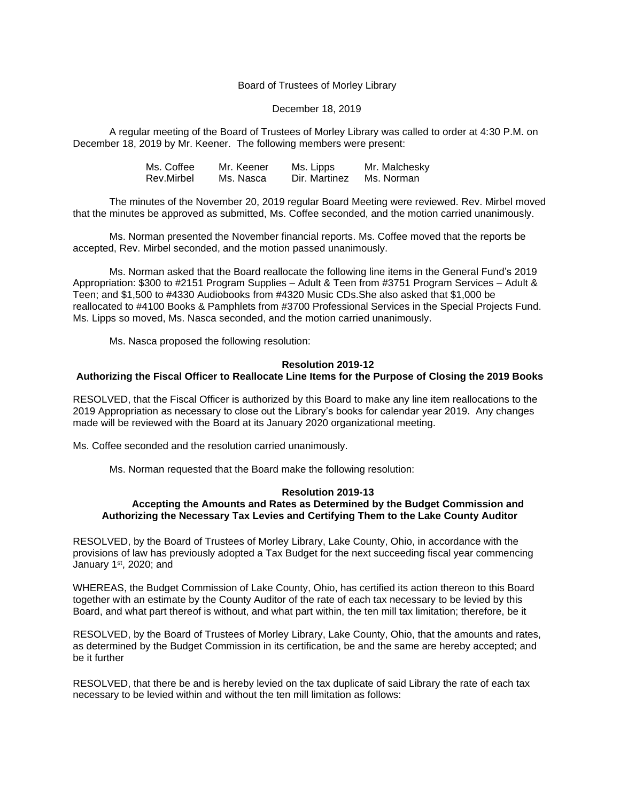## Board of Trustees of Morley Library

### December 18, 2019

A regular meeting of the Board of Trustees of Morley Library was called to order at 4:30 P.M. on December 18, 2019 by Mr. Keener. The following members were present:

| Ms. Coffee | Mr. Keener | Ms. Lipps     | Mr. Malchesky |
|------------|------------|---------------|---------------|
| Rev.Mirbel | Ms. Nasca  | Dir. Martinez | Ms. Norman    |

The minutes of the November 20, 2019 regular Board Meeting were reviewed. Rev. Mirbel moved that the minutes be approved as submitted, Ms. Coffee seconded, and the motion carried unanimously.

Ms. Norman presented the November financial reports. Ms. Coffee moved that the reports be accepted, Rev. Mirbel seconded, and the motion passed unanimously.

Ms. Norman asked that the Board reallocate the following line items in the General Fund's 2019 Appropriation: \$300 to #2151 Program Supplies – Adult & Teen from #3751 Program Services – Adult & Teen; and \$1,500 to #4330 Audiobooks from #4320 Music CDs.She also asked that \$1,000 be reallocated to #4100 Books & Pamphlets from #3700 Professional Services in the Special Projects Fund. Ms. Lipps so moved, Ms. Nasca seconded, and the motion carried unanimously.

Ms. Nasca proposed the following resolution:

## **Resolution 2019-12**

### **Authorizing the Fiscal Officer to Reallocate Line Items for the Purpose of Closing the 2019 Books**

RESOLVED, that the Fiscal Officer is authorized by this Board to make any line item reallocations to the 2019 Appropriation as necessary to close out the Library's books for calendar year 2019. Any changes made will be reviewed with the Board at its January 2020 organizational meeting.

Ms. Coffee seconded and the resolution carried unanimously.

Ms. Norman requested that the Board make the following resolution:

### **Resolution 2019-13 Accepting the Amounts and Rates as Determined by the Budget Commission and Authorizing the Necessary Tax Levies and Certifying Them to the Lake County Auditor**

RESOLVED, by the Board of Trustees of Morley Library, Lake County, Ohio, in accordance with the provisions of law has previously adopted a Tax Budget for the next succeeding fiscal year commencing January 1<sup>st</sup>, 2020; and

WHEREAS, the Budget Commission of Lake County, Ohio, has certified its action thereon to this Board together with an estimate by the County Auditor of the rate of each tax necessary to be levied by this Board, and what part thereof is without, and what part within, the ten mill tax limitation; therefore, be it

RESOLVED, by the Board of Trustees of Morley Library, Lake County, Ohio, that the amounts and rates, as determined by the Budget Commission in its certification, be and the same are hereby accepted; and be it further

RESOLVED, that there be and is hereby levied on the tax duplicate of said Library the rate of each tax necessary to be levied within and without the ten mill limitation as follows: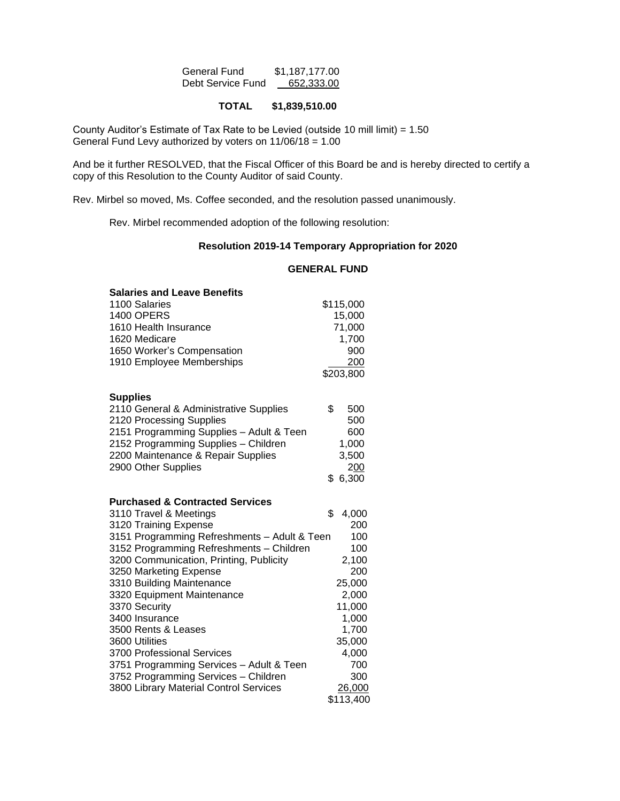| General Fund      | \$1,187,177.00 |
|-------------------|----------------|
| Debt Service Fund | 652,333.00     |

# **TOTAL \$1,839,510.00**

County Auditor's Estimate of Tax Rate to be Levied (outside 10 mill limit) = 1.50 General Fund Levy authorized by voters on  $11/06/18 = 1.00$ 

And be it further RESOLVED, that the Fiscal Officer of this Board be and is hereby directed to certify a copy of this Resolution to the County Auditor of said County.

Rev. Mirbel so moved, Ms. Coffee seconded, and the resolution passed unanimously.

Rev. Mirbel recommended adoption of the following resolution:

## **Resolution 2019-14 Temporary Appropriation for 2020**

# **GENERAL FUND**

| <b>Salaries and Leave Benefits</b>           |             |
|----------------------------------------------|-------------|
| 1100 Salaries                                | \$115,000   |
| <b>1400 OPERS</b>                            | 15,000      |
| 1610 Health Insurance                        | 71,000      |
| 1620 Medicare                                | 1,700       |
| 1650 Worker's Compensation                   | 900         |
| 1910 Employee Memberships                    | 200         |
|                                              | \$203,800   |
|                                              |             |
| <b>Supplies</b>                              |             |
| 2110 General & Administrative Supplies       | \$<br>500   |
| 2120 Processing Supplies                     | 500         |
| 2151 Programming Supplies - Adult & Teen     | 600         |
| 2152 Programming Supplies - Children         | 1,000       |
| 2200 Maintenance & Repair Supplies           | 3,500       |
| 2900 Other Supplies                          | 200         |
|                                              | \$6,300     |
|                                              |             |
| <b>Purchased &amp; Contracted Services</b>   |             |
| 3110 Travel & Meetings                       | \$<br>4,000 |
| 3120 Training Expense                        | 200         |
| 3151 Programming Refreshments - Adult & Teen | 100         |
| 3152 Programming Refreshments - Children     | 100         |
| 3200 Communication, Printing, Publicity      | 2,100       |
| 3250 Marketing Expense                       | 200         |
| 3310 Building Maintenance                    | 25,000      |
| 3320 Equipment Maintenance                   | 2,000       |
| 3370 Security                                | 11,000      |
| 3400 Insurance                               | 1,000       |
| 3500 Rents & Leases                          | 1,700       |
| 3600 Utilities                               | 35,000      |
| 3700 Professional Services                   | 4,000       |
| 3751 Programming Services - Adult & Teen     | 700         |
| 3752 Programming Services - Children         | 300         |
| 3800 Library Material Control Services       | 26,000      |
|                                              | \$113,400   |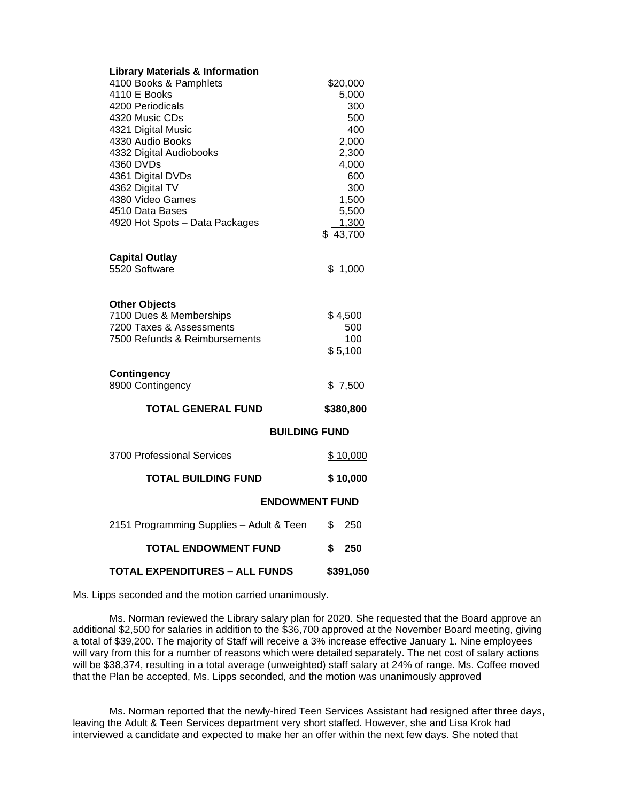| <b>Library Materials &amp; Information</b> |                      |  |
|--------------------------------------------|----------------------|--|
| 4100 Books & Pamphlets                     | \$20,000             |  |
| 4110 E Books                               | 5,000                |  |
| 4200 Periodicals                           | 300                  |  |
| 4320 Music CDs                             | 500                  |  |
| 4321 Digital Music                         | 400                  |  |
| 4330 Audio Books                           | 2,000                |  |
| 4332 Digital Audiobooks                    | 2,300                |  |
| 4360 DVDs                                  | 4,000                |  |
| 4361 Digital DVDs                          | 600                  |  |
| 4362 Digital TV<br>4380 Video Games        | 300                  |  |
|                                            | 1,500                |  |
| 4510 Data Bases                            | 5,500                |  |
| 4920 Hot Spots - Data Packages             | 1,300<br>\$43,700    |  |
|                                            |                      |  |
| <b>Capital Outlay</b>                      |                      |  |
| 5520 Software                              | \$1,000              |  |
|                                            |                      |  |
|                                            |                      |  |
| <b>Other Objects</b>                       |                      |  |
| 7100 Dues & Memberships                    | \$4,500              |  |
| 7200 Taxes & Assessments                   | 500                  |  |
| 7500 Refunds & Reimbursements              | <u>100</u>           |  |
|                                            | \$5,100              |  |
|                                            |                      |  |
| <b>Contingency</b>                         |                      |  |
| 8900 Contingency                           | \$7,500              |  |
| TOTAL GENERAL FUND                         | \$380,800            |  |
|                                            | <b>BUILDING FUND</b> |  |
|                                            |                      |  |
| 3700 Professional Services                 | \$10,000             |  |
| <b>TOTAL BUILDING FUND</b>                 | \$10,000             |  |
| <b>ENDOWMENT FUND</b>                      |                      |  |
| 2151 Programming Supplies - Adult & Teen   | \$<br>250            |  |
| <b>TOTAL ENDOWMENT FUND</b>                | \$<br>250            |  |
|                                            |                      |  |
| TOTAL EXPENDITURES – ALL FUNDS             | \$391,050            |  |

Ms. Lipps seconded and the motion carried unanimously.

Ms. Norman reviewed the Library salary plan for 2020. She requested that the Board approve an additional \$2,500 for salaries in addition to the \$36,700 approved at the November Board meeting, giving a total of \$39,200. The majority of Staff will receive a 3% increase effective January 1. Nine employees will vary from this for a number of reasons which were detailed separately. The net cost of salary actions will be \$38,374, resulting in a total average (unweighted) staff salary at 24% of range. Ms. Coffee moved that the Plan be accepted, Ms. Lipps seconded, and the motion was unanimously approved

Ms. Norman reported that the newly-hired Teen Services Assistant had resigned after three days, leaving the Adult & Teen Services department very short staffed. However, she and Lisa Krok had interviewed a candidate and expected to make her an offer within the next few days. She noted that